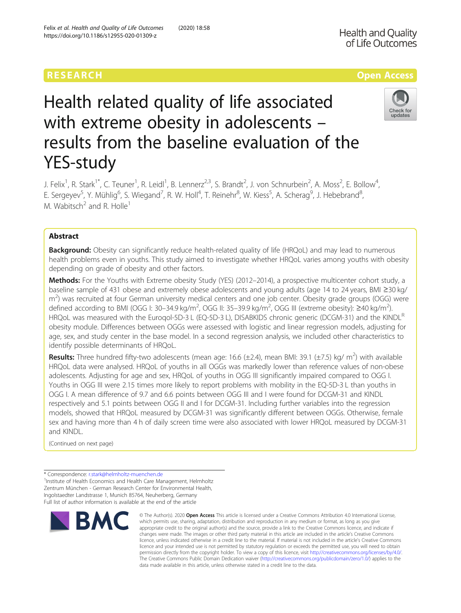# RESEARCH **RESEARCH CONSUMING THE CONSUMING THE CONSUMING TENS**



# Health related quality of life associated with extreme obesity in adolescents – results from the baseline evaluation of the YES-study

J. Felix<sup>1</sup>, R. Stark<sup>1\*</sup>, C. Teuner<sup>1</sup>, R. Leidl<sup>1</sup>, B. Lennerz<sup>2,3</sup>, S. Brandt<sup>2</sup>, J. von Schnurbein<sup>2</sup>, A. Moss<sup>2</sup>, E. Bollow<sup>4</sup> , E. Sergeyev<sup>5</sup>, Y. Mühlig<sup>6</sup>, S. Wiegand<sup>7</sup>, R. W. Holl<sup>4</sup>, T. Reinehr<sup>8</sup>, W. Kiess<sup>5</sup>, A. Scherag<sup>9</sup>, J. Hebebrand<sup>8</sup> ;<br>, M. Wabitsch<sup>2</sup> and R. Holle<sup>1</sup>

# Abstract

**Background:** Obesity can significantly reduce health-related quality of life (HRQoL) and may lead to numerous health problems even in youths. This study aimed to investigate whether HRQoL varies among youths with obesity depending on grade of obesity and other factors.

Methods: For the Youths with Extreme obesity Study (YES) (2012–2014), a prospective multicenter cohort study, a baseline sample of 431 obese and extremely obese adolescents and young adults (age 14 to 24 years, BMI ≥30 kg/ m<sup>2</sup>) was recruited at four German university medical centers and one job center. Obesity grade groups (OGG) were defined according to BMI (OGG I: 30–34.9 kg/m<sup>2</sup>, OGG II: 35–39.9 kg/m<sup>2</sup>, OGG III (extreme obesity): ≥40 kg/m<sup>2</sup>). HRQoL was measured with the Euroqol-5D-3 L (EQ-5D-3 L), DISABKIDS chronic generic (DCGM-31) and the KINDL<sup>R</sup> obesity module. Differences between OGGs were assessed with logistic and linear regression models, adjusting for age, sex, and study center in the base model. In a second regression analysis, we included other characteristics to identify possible determinants of HRQoL.

Results: Three hundred fifty-two adolescents (mean age: 16.6 (±2.4), mean BMI: 39.1 (±7.5) kg/ m<sup>2</sup>) with available HRQoL data were analysed. HRQoL of youths in all OGGs was markedly lower than reference values of non-obese adolescents. Adjusting for age and sex, HRQoL of youths in OGG III significantly impaired compared to OGG I. Youths in OGG III were 2.15 times more likely to report problems with mobility in the EQ-5D-3 L than youths in OGG I. A mean difference of 9.7 and 6.6 points between OGG III and I were found for DCGM-31 and KINDL respectively and 5.1 points between OGG II and I for DCGM-31. Including further variables into the regression models, showed that HRQoL measured by DCGM-31 was significantly different between OGGs. Otherwise, female sex and having more than 4 h of daily screen time were also associated with lower HRQoL measured by DCGM-31 and KINDL.

(Continued on next page)

<sup>\*</sup> Correspondence: [r.stark@helmholtz-muenchen.de](mailto:r.stark@helmholtz-muenchen.de)<br><sup>1</sup>Institute of Health Economics and Health Care Management, Helmholtz Zentrum München - German Research Center for Environmental Health, Ingolstaedter Landstrasse 1, Munich 85764, Neuherberg, Germany Full list of author information is available at the end of the article



<sup>©</sup> The Author(s), 2020 **Open Access** This article is licensed under a Creative Commons Attribution 4.0 International License, which permits use, sharing, adaptation, distribution and reproduction in any medium or format, as long as you give appropriate credit to the original author(s) and the source, provide a link to the Creative Commons licence, and indicate if changes were made. The images or other third party material in this article are included in the article's Creative Commons licence, unless indicated otherwise in a credit line to the material. If material is not included in the article's Creative Commons licence and your intended use is not permitted by statutory regulation or exceeds the permitted use, you will need to obtain permission directly from the copyright holder. To view a copy of this licence, visit [http://creativecommons.org/licenses/by/4.0/.](http://creativecommons.org/licenses/by/4.0/) The Creative Commons Public Domain Dedication waiver [\(http://creativecommons.org/publicdomain/zero/1.0/](http://creativecommons.org/publicdomain/zero/1.0/)) applies to the data made available in this article, unless otherwise stated in a credit line to the data.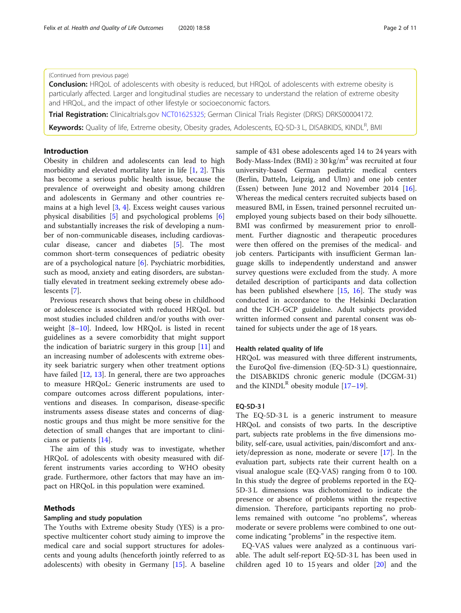# (Continued from previous page)

**Conclusion:** HRQoL of adolescents with obesity is reduced, but HRQoL of adolescents with extreme obesity is particularly affected. Larger and longitudinal studies are necessary to understand the relation of extreme obesity and HRQoL, and the impact of other lifestyle or socioeconomic factors.

Trial Registration: Clinicaltrials.gov [NCT01625325;](https://clinicaltrials.gov/ct2/show/NCT01625325) German Clinical Trials Register (DRKS) DRKS00004172.

Keywords: Quality of life, Extreme obesity, Obesity grades, Adolescents, EQ-5D-3 L, DISABKIDS, KINDL<sup>R</sup>, BMI

# Introduction

Obesity in children and adolescents can lead to high morbidity and elevated mortality later in life [\[1,](#page-9-0) [2\]](#page-9-0). This has become a serious public health issue, because the prevalence of overweight and obesity among children and adolescents in Germany and other countries remains at a high level [\[3](#page-9-0), [4](#page-9-0)]. Excess weight causes various physical disabilities [[5\]](#page-9-0) and psychological problems [\[6](#page-9-0)] and substantially increases the risk of developing a number of non-communicable diseases, including cardiovascular disease, cancer and diabetes [\[5](#page-9-0)]. The most common short-term consequences of pediatric obesity are of a psychological nature [\[6](#page-9-0)]. Psychiatric morbidities, such as mood, anxiety and eating disorders, are substantially elevated in treatment seeking extremely obese adolescents [[7\]](#page-9-0).

Previous research shows that being obese in childhood or adolescence is associated with reduced HRQoL but most studies included children and/or youths with overweight [[8](#page-9-0)–[10](#page-9-0)]. Indeed, low HRQoL is listed in recent guidelines as a severe comorbidity that might support the indication of bariatric surgery in this group [\[11](#page-9-0)] and an increasing number of adolescents with extreme obesity seek bariatric surgery when other treatment options have failed [[12,](#page-9-0) [13\]](#page-9-0). In general, there are two approaches to measure HRQoL: Generic instruments are used to compare outcomes across different populations, interventions and diseases. In comparison, disease-specific instruments assess disease states and concerns of diagnostic groups and thus might be more sensitive for the detection of small changes that are important to clinicians or patients [\[14\]](#page-9-0).

The aim of this study was to investigate, whether HRQoL of adolescents with obesity measured with different instruments varies according to WHO obesity grade. Furthermore, other factors that may have an impact on HRQoL in this population were examined.

# Methods

# Sampling and study population

The Youths with Extreme obesity Study (YES) is a prospective multicenter cohort study aiming to improve the medical care and social support structures for adolescents and young adults (henceforth jointly referred to as adolescents) with obesity in Germany [\[15\]](#page-9-0). A baseline

sample of 431 obese adolescents aged 14 to 24 years with Body-Mass-Index (BMI)  $\geq$  30 kg/m<sup>2</sup> was recruited at four university-based German pediatric medical centers (Berlin, Datteln, Leipzig, and Ulm) and one job center (Essen) between June 2012 and November 2014 [\[16](#page-9-0)]. Whereas the medical centers recruited subjects based on measured BMI, in Essen, trained personnel recruited unemployed young subjects based on their body silhouette. BMI was confirmed by measurement prior to enrollment. Further diagnostic and therapeutic procedures were then offered on the premises of the medical- and job centers. Participants with insufficient German language skills to independently understand and answer survey questions were excluded from the study. A more detailed description of participants and data collection has been published elsewhere [\[15,](#page-9-0) [16\]](#page-9-0). The study was conducted in accordance to the Helsinki Declaration and the ICH-GCP guideline. Adult subjects provided written informed consent and parental consent was obtained for subjects under the age of 18 years.

# Health related quality of life

HRQoL was measured with three different instruments, the EuroQol five-dimension (EQ-5D-3 L) questionnaire, the DISABKIDS chronic generic module (DCGM-31) and the KINDL<sup>R</sup> obesity module  $[17–19]$  $[17–19]$  $[17–19]$ .

# EQ-5D-3 l

The EQ-5D-3 L is a generic instrument to measure HRQoL and consists of two parts. In the descriptive part, subjects rate problems in the five dimensions mobility, self-care, usual activities, pain/discomfort and anxiety/depression as none, moderate or severe [[17](#page-10-0)]. In the evaluation part, subjects rate their current health on a visual analogue scale (EQ-VAS) ranging from 0 to 100. In this study the degree of problems reported in the EQ-5D-3 L dimensions was dichotomized to indicate the presence or absence of problems within the respective dimension. Therefore, participants reporting no problems remained with outcome "no problems", whereas moderate or severe problems were combined to one outcome indicating "problems" in the respective item.

EQ-VAS values were analyzed as a continuous variable. The adult self-report EQ-5D-3 L has been used in children aged 10 to 15 years and older [\[20](#page-10-0)] and the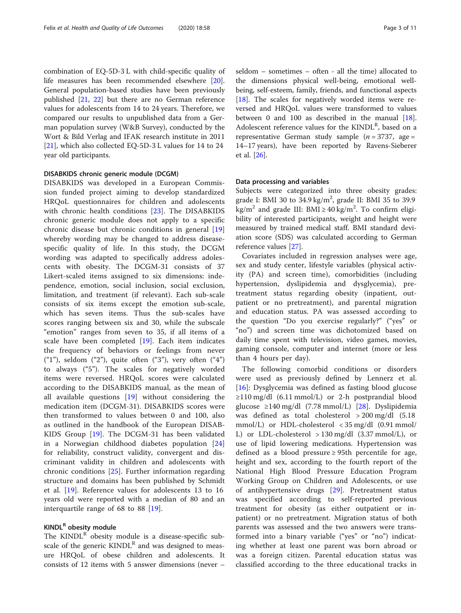combination of EQ-5D-3 L with child-specific quality of life measures has been recommended elsewhere [\[20](#page-10-0)]. General population-based studies have been previously published [\[21,](#page-10-0) [22\]](#page-10-0) but there are no German reference values for adolescents from 14 to 24 years. Therefore, we compared our results to unpublished data from a German population survey (W&B Survey), conducted by the Wort & Bild Verlag and IFAK research institute in 2011 [[21\]](#page-10-0), which also collected EQ-5D-3 L values for 14 to 24 year old participants.

# DISABKIDS chronic generic module (DCGM)

DISABKIDS was developed in a European Commission funded project aiming to develop standardized HRQoL questionnaires for children and adolescents with chronic health conditions [[23](#page-10-0)]. The DISABKIDS chronic generic module does not apply to a specific chronic disease but chronic conditions in general [\[19](#page-10-0)] whereby wording may be changed to address diseasespecific quality of life. In this study, the DCGM wording was adapted to specifically address adolescents with obesity. The DCGM-31 consists of 37 Likert-scaled items assigned to six dimensions: independence, emotion, social inclusion, social exclusion, limitation, and treatment (if relevant). Each sub-scale consists of six items except the emotion sub-scale, which has seven items. Thus the sub-scales have scores ranging between six and 30, while the subscale "emotion" ranges from seven to 35, if all items of a scale have been completed [[19\]](#page-10-0). Each item indicates the frequency of behaviors or feelings from never  $(1)$ "), seldom  $(2)$ "), quite often  $(3)$ "), very often  $(4)$ " to always ("5"). The scales for negatively worded items were reversed. HRQoL scores were calculated according to the DISABKIDS manual, as the mean of all available questions [\[19](#page-10-0)] without considering the medication item (DCGM-31). DISABKIDS scores were then transformed to values between 0 and 100, also as outlined in the handbook of the European DISAB-KIDS Group [\[19](#page-10-0)]. The DCGM-31 has been validated in a Norwegian childhood diabetes population [\[24](#page-10-0)] for reliability, construct validity, convergent and discriminant validity in children and adolescents with chronic conditions [[25\]](#page-10-0). Further information regarding structure and domains has been published by Schmidt et al. [\[19](#page-10-0)]. Reference values for adolescents 13 to 16 years old were reported with a median of 80 and an interquartile range of 68 to 88 [[19\]](#page-10-0).

# KINDL<sup>R</sup> obesity module

The  $KINDL^R$  obesity module is a disease-specific subscale of the generic  $KINDL<sup>R</sup>$  and was designed to measure HRQoL of obese children and adolescents. It consists of 12 items with 5 answer dimensions (never –

seldom – sometimes – often - all the time) allocated to the dimensions physical well-being, emotional wellbeing, self-esteem, family, friends, and functional aspects [[18\]](#page-10-0). The scales for negatively worded items were reversed and HRQoL values were transformed to values between 0 and 100 as described in the manual [\[18](#page-10-0)]. Adolescent reference values for the  $KINDL<sup>R</sup>$ , based on a representative German study sample  $(n = 3737, \text{ age} =$ 14–17 years), have been reported by Ravens-Sieberer et al. [\[26](#page-10-0)].

# Data processing and variables

Subjects were categorized into three obesity grades: grade I: BMI 30 to  $34.9 \text{ kg/m}^2$ , grade II: BMI 35 to 39.9  $\text{kg/m}^2$  and grade III: BMI ≥ 40 kg/m<sup>2</sup>. To confirm eligibility of interested participants, weight and height were measured by trained medical staff. BMI standard deviation score (SDS) was calculated according to German reference values [\[27](#page-10-0)].

Covariates included in regression analyses were age, sex and study center, lifestyle variables (physical activity (PA) and screen time), comorbidities (including hypertension, dyslipidemia and dysglycemia), pretreatment status regarding obesity (inpatient, outpatient or no pretreatment), and parental migration and education status. PA was assessed according to the question "Do you exercise regularly?" ("yes" or "no") and screen time was dichotomized based on daily time spent with television, video games, movies, gaming console, computer and internet (more or less than 4 hours per day).

The following comorbid conditions or disorders were used as previously defined by Lennerz et al. [[16\]](#page-9-0): Dysglycemia was defined as fasting blood glucose ≥110 mg/dl (6.11 mmol/L) or 2-h postprandial blood glucose ≥140 mg/dl (7.78 mmol/L) [\[28](#page-10-0)]. Dyslipidemia was defined as total cholesterol > 200 mg/dl (5.18  $mmol/L$ ) or HDL-cholesterol  $\langle 35 \text{ mg/dl} \rangle$  (0.91 mmol/ L) or LDL-cholesterol  $> 130$  mg/dl (3.37 mmol/L), or use of lipid lowering medications. Hypertension was defined as a blood pressure  $\geq$  95th percentile for age, height and sex, according to the fourth report of the National High Blood Pressure Education Program Working Group on Children and Adolescents, or use of antihypertensive drugs [[29\]](#page-10-0). Pretreatment status was specified according to self-reported previous treatment for obesity (as either outpatient or inpatient) or no pretreatment. Migration status of both parents was assessed and the two answers were transformed into a binary variable ("yes" or "no") indicating whether at least one parent was born abroad or was a foreign citizen. Parental education status was classified according to the three educational tracks in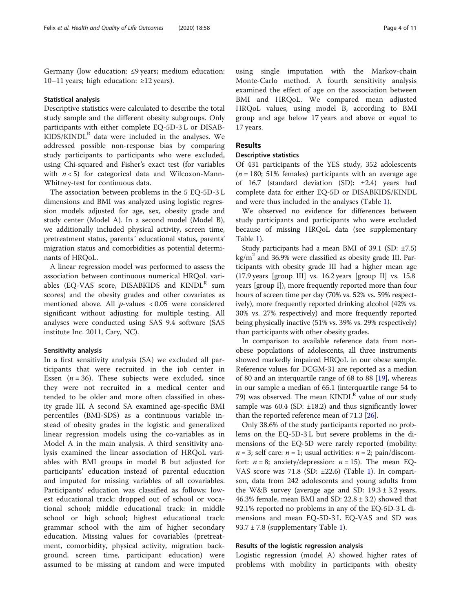Germany (low education: ≤9 years; medium education: 10–11 years; high education: ≥12 years).

# Statistical analysis

Descriptive statistics were calculated to describe the total study sample and the different obesity subgroups. Only participants with either complete EQ-5D-3 L or DISAB- $KIDS/KINDL<sup>R</sup>$  data were included in the analyses. We addressed possible non-response bias by comparing study participants to participants who were excluded, using Chi-squared and Fisher's exact test (for variables with  $n < 5$ ) for categorical data and Wilcoxon-Mann-Whitney-test for continuous data.

The association between problems in the 5 EQ-5D-3 L dimensions and BMI was analyzed using logistic regression models adjusted for age, sex, obesity grade and study center (Model A). In a second model (Model B), we additionally included physical activity, screen time, pretreatment status, parents´ educational status, parents' migration status and comorbidities as potential determinants of HRQoL.

A linear regression model was performed to assess the association between continuous numerical HRQoL variables (EQ-VAS score, DISABKIDS and  $KINDL^R$  sum scores) and the obesity grades and other covariates as mentioned above. All  $p$ -values < 0.05 were considered significant without adjusting for multiple testing. All analyses were conducted using SAS 9.4 software (SAS institute Inc. 2011, Cary, NC).

# Sensitivity analysis

In a first sensitivity analysis (SA) we excluded all participants that were recruited in the job center in Essen  $(n = 36)$ . These subjects were excluded, since they were not recruited in a medical center and tended to be older and more often classified in obesity grade III. A second SA examined age-specific BMI percentiles (BMI-SDS) as a continuous variable instead of obesity grades in the logistic and generalized linear regression models using the co-variables as in Model A in the main analysis. A third sensitivity analysis examined the linear association of HRQoL variables with BMI groups in model B but adjusted for participants' education instead of parental education and imputed for missing variables of all covariables. Participants' education was classified as follows: lowest educational track: dropped out of school or vocational school; middle educational track: in middle school or high school; highest educational track: grammar school with the aim of higher secondary education. Missing values for covariables (pretreatment, comorbidity, physical activity, migration background, screen time, participant education) were assumed to be missing at random and were imputed

using single imputation with the Markov-chain Monte-Carlo method. A fourth sensitivity analysis examined the effect of age on the association between BMI and HRQoL. We compared mean adjusted HRQoL values, using model B, according to BMI group and age below 17 years and above or equal to 17 years.

# Results

# Descriptive statistics

Of 431 participants of the YES study, 352 adolescents  $(n = 180; 51\%)$  females) participants with an average age of 16.7 (standard deviation (SD): ±2.4) years had complete data for either EQ-5D or DISABKIDS/KINDL and were thus included in the analyses (Table [1](#page-4-0)).

We observed no evidence for differences between study participants and participants who were excluded because of missing HRQoL data (see supplementary Table [1\)](#page-8-0).

Study participants had a mean BMI of 39.1 (SD:  $\pm$ 7.5)  $kg/m<sup>2</sup>$  and 36.9% were classified as obesity grade III. Participants with obesity grade III had a higher mean age (17.9 years [group III] vs. 16.2 years [group II] vs. 15.8 years [group I]), more frequently reported more than four hours of screen time per day (70% vs. 52% vs. 59% respectively), more frequently reported drinking alcohol (42% vs. 30% vs. 27% respectively) and more frequently reported being physically inactive (51% vs. 39% vs. 29% respectively) than participants with other obesity grades.

In comparison to available reference data from nonobese populations of adolescents, all three instruments showed markedly impaired HRQoL in our obese sample. Reference values for DCGM-31 are reported as a median of 80 and an interquartile range of 68 to 88 [\[19\]](#page-10-0), whereas in our sample a median of 65.1 (interquartile range 54 to 79) was observed. The mean  $KINDL<sup>R</sup>$  value of our study sample was  $60.4$  (SD:  $\pm 18.2$ ) and thus significantly lower than the reported reference mean of 71.3 [\[26\]](#page-10-0).

Only 38.6% of the study participants reported no problems on the EQ-5D-3 L but severe problems in the dimensions of the EQ-5D were rarely reported (mobility:  $n = 3$ ; self care:  $n = 1$ ; usual activities:  $n = 2$ ; pain/discomfort:  $n = 8$ ; anxiety/depression:  $n = 15$ ). The mean EQ-VAS score was 71.8 (SD: ±22.6) (Table [1](#page-4-0)). In comparison, data from 242 adolescents and young adults from the W&B survey (average age and SD:  $19.3 \pm 3.2$  years, 46.3% female, mean BMI and SD:  $22.8 \pm 3.2$ ) showed that 92.1% reported no problems in any of the EQ-5D-3 L dimensions and mean EQ-5D-3 L EQ-VAS and SD was 93.7 ± 7.8 (supplementary Table [1](#page-8-0)).

# Results of the logistic regression analysis

Logistic regression (model A) showed higher rates of problems with mobility in participants with obesity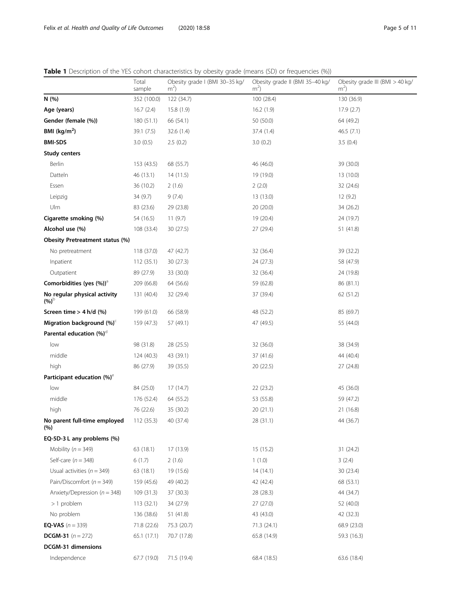<span id="page-4-0"></span>Table 1 Description of the YES cohort characteristics by obesity grade (means (SD) or frequencies (%))

|                                           | Total<br>sample | able I Description of the TEJ conort characteristics by obesity grade (means (JD) or nequencies (70))<br>Obesity grade I (BMI 30-35 kg/<br>m <sup>2</sup> | Obesity grade II (BMI 35-40 kg/<br>m <sup>2</sup> | Obesity grade III (BMI > 40 kg/<br>m <sup>2</sup> |
|-------------------------------------------|-----------------|-----------------------------------------------------------------------------------------------------------------------------------------------------------|---------------------------------------------------|---------------------------------------------------|
| N (%)                                     | 352 (100.0)     | 122 (34.7)                                                                                                                                                | 100 (28.4)                                        | 130 (36.9)                                        |
| Age (years)                               | 16.7(2.4)       | 15.8(1.9)                                                                                                                                                 | 16.2(1.9)                                         | 17.9(2.7)                                         |
| Gender (female (%))                       | 180 (51.1)      | 66 (54.1)                                                                                                                                                 | 50 (50.0)                                         | 64 (49.2)                                         |
| BMI ( $\text{kg/m}^2$ )                   | 39.1(7.5)       | 32.6(1.4)                                                                                                                                                 | 37.4 (1.4)                                        | 46.5(7.1)                                         |
| <b>BMI-SDS</b>                            | 3.0(0.5)        | 2.5(0.2)                                                                                                                                                  | 3.0(0.2)                                          | 3.5(0.4)                                          |
| <b>Study centers</b>                      |                 |                                                                                                                                                           |                                                   |                                                   |
| Berlin                                    | 153 (43.5)      | 68 (55.7)                                                                                                                                                 | 46 (46.0)                                         | 39 (30.0)                                         |
| Datteln                                   | 46 (13.1)       | 14(11.5)                                                                                                                                                  | 19 (19.0)                                         | 13 (10.0)                                         |
| Essen                                     | 36 (10.2)       | 2(1.6)                                                                                                                                                    | 2(2.0)                                            | 32 (24.6)                                         |
| Leipzig                                   | 34(9.7)         | 9(7.4)                                                                                                                                                    | 13 (13.0)                                         | 12(9.2)                                           |
| Ulm                                       | 83 (23.6)       | 29 (23.8)                                                                                                                                                 | 20 (20.0)                                         | 34 (26.2)                                         |
| Cigarette smoking (%)                     | 54 (16.5)       | 11(9.7)                                                                                                                                                   | 19 (20.4)                                         | 24 (19.7)                                         |
| Alcohol use (%)                           | 108 (33.4)      | 30 (27.5)                                                                                                                                                 | 27 (29.4)                                         | 51 (41.8)                                         |
| Obesity Pretreatment status (%)           |                 |                                                                                                                                                           |                                                   |                                                   |
| No pretreatment                           | 118 (37.0)      | 47 (42.7)                                                                                                                                                 | 32 (36.4)                                         | 39 (32.2)                                         |
| Inpatient                                 | 112(35.1)       | 30(27.3)                                                                                                                                                  | 24 (27.3)                                         | 58 (47.9)                                         |
| Outpatient                                | 89 (27.9)       | 33 (30.0)                                                                                                                                                 | 32 (36.4)                                         | 24 (19.8)                                         |
| Comorbidities (yes (%)) <sup>a</sup>      | 209 (66.8)      | 64 (56.6)                                                                                                                                                 | 59 (62.8)                                         | 86 (81.1)                                         |
| No regular physical activity<br>$(%)^{5}$ | 131 (40.4)      | 32 (29.4)                                                                                                                                                 | 37 (39.4)                                         | 62 (51.2)                                         |
| Screen time $>$ 4 h/d (%)                 | 199 (61.0)      | 66 (58.9)                                                                                                                                                 | 48 (52.2)                                         | 85 (69.7)                                         |
| Migration background (%) <sup>c</sup>     | 159 (47.3)      | 57 (49.1)                                                                                                                                                 | 47 (49.5)                                         | 55 (44.0)                                         |
| Parental education (%) <sup>d</sup>       |                 |                                                                                                                                                           |                                                   |                                                   |
| low                                       | 98 (31.8)       | 28 (25.5)                                                                                                                                                 | 32 (36.0)                                         | 38 (34.9)                                         |
| middle                                    | 124 (40.3)      | 43 (39.1)                                                                                                                                                 | 37 (41.6)                                         | 44 (40.4)                                         |
| high                                      | 86 (27.9)       | 39 (35.5)                                                                                                                                                 | 20 (22.5)                                         | 27 (24.8)                                         |
| Participant education (%) <sup>e</sup>    |                 |                                                                                                                                                           |                                                   |                                                   |
| low                                       | 84 (25.0)       | 17(14.7)                                                                                                                                                  | 22 (23.2)                                         | 45 (36.0)                                         |
| middle                                    | 176 (52.4)      | 64 (55.2)                                                                                                                                                 | 53 (55.8)                                         | 59 (47.2)                                         |
| high                                      | 76 (22.6)       | 35 (30.2)                                                                                                                                                 | 20(21.1)                                          | 21 (16.8)                                         |
| No parent full-time employed<br>(%)       | 112 (35.3)      | 40 (37.4)                                                                                                                                                 | 28 (31.1)                                         | 44 (36.7)                                         |
| EQ-5D-3 L any problems (%)                |                 |                                                                                                                                                           |                                                   |                                                   |
| Mobility ( $n = 349$ )                    | 63 (18.1)       | 17 (13.9)                                                                                                                                                 | 15(15.2)                                          | 31 (24.2)                                         |
| Self-care $(n = 348)$                     | 6(1.7)          | 2(1.6)                                                                                                                                                    | 1(1.0)                                            | 3(2.4)                                            |
| Usual activities ( $n = 349$ )            | 63 (18.1)       | 19 (15.6)                                                                                                                                                 | 14(14.1)                                          | 30 (23.4)                                         |
| Pain/Discomfort ( $n = 349$ )             | 159 (45.6)      | 49 (40.2)                                                                                                                                                 | 42 (42.4)                                         | 68 (53.1)                                         |
| Anxiety/Depression ( $n = 348$ )          | 109 (31.3)      | 37 (30.3)                                                                                                                                                 | 28 (28.3)                                         | 44 (34.7)                                         |
| $>1$ problem                              | 113(32.1)       | 34 (27.9)                                                                                                                                                 | 27(27.0)                                          | 52 (40.0)                                         |
| No problem                                | 136 (38.6)      | 51 (41.8)                                                                                                                                                 | 43 (43.0)                                         | 42 (32.3)                                         |
| <b>EQ-VAS</b> $(n = 339)$                 | 71.8 (22.6)     | 75.3 (20.7)                                                                                                                                               | 71.3 (24.1)                                       | 68.9 (23.0)                                       |
| <b>DCGM-31</b> $(n = 272)$                | 65.1(17.1)      | 70.7 (17.8)                                                                                                                                               | 65.8 (14.9)                                       | 59.3 (16.3)                                       |
| DCGM-31 dimensions                        |                 |                                                                                                                                                           |                                                   |                                                   |
| Independence                              | 67.7 (19.0)     | 71.5 (19.4)                                                                                                                                               | 68.4 (18.5)                                       | 63.6 (18.4)                                       |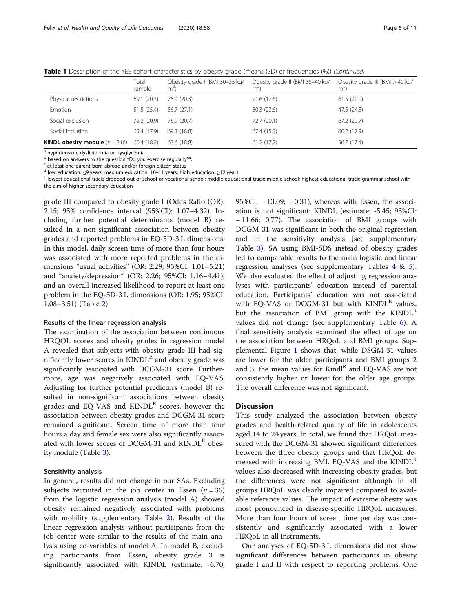Table 1 Description of the YES cohort characteristics by obesity grade (means (SD) or frequencies (%)) (Continued)

|                                         | Total<br>sample | Obesity grade I (BMI 30-35 kg/<br>m <sup>2</sup> | Obesity grade II (BMI 35-40 kg/<br>$m^{\prime}$ | Obesity grade III (BMI > 40 kg/<br>$m^2$ |
|-----------------------------------------|-----------------|--------------------------------------------------|-------------------------------------------------|------------------------------------------|
| Physical restrictions                   | 69.1 (20.3)     | 75.0 (20.3)                                      | 71.6 (17.6)                                     | 61.5(20.0)                               |
| Emotion                                 | 51.5(25.4)      | 56.7 (27.1)                                      | 50.3(23.6)                                      | 47.5 (24.5)                              |
| Social exclusion                        | 72.2 (20.9)     | 76.9 (20.7)                                      | 72.7 (20.1)                                     | 67.2(20.7)                               |
| Social inclusion                        | 65.4 (17.9)     | 69.3 (18.8)                                      | 67.4 (15.3)                                     | 60.2 (17.9)                              |
| <b>KINDL obesity module</b> $(n = 316)$ | 60.4 (18.2)     | 63.6 (18.8)                                      | 61.2(17.7)                                      | 56.7 (17.4)                              |

<sup>a</sup> hypertension, dyslipidemia or dysglycemia

b based on answers to the question "Do you exercise regularly?";<br>
c at least one parent born abroad and/or foreign citizen status<br>
d low education:  $\leq$ 9 years; medium education: 10–11 years; high education:  $\geq$ 12 year

e lowest educational track: dropped out of school or vocational school; middle educational track: middle school; highest educational track: grammar school with the aim of higher secondary education

grade III compared to obesity grade I (Odds Ratio (OR): 2.15; 95% confidence interval (95%CI): 1.07–4.32). Including further potential determinants (model B) resulted in a non-significant association between obesity grades and reported problems in EQ-5D-3 L dimensions. In this model, daily screen time of more than four hours was associated with more reported problems in the dimensions "usual activities" (OR: 2.29; 95%CI: 1.01–5.21) and "anxiety/depression" (OR: 2.26; 95%CI: 1.16–4.41), and an overall increased likelihood to report at least one problem in the EQ-5D-3 L dimensions (OR: 1.95; 95%CI: 1.08–3.51) (Table [2\)](#page-6-0).

# Results of the linear regression analysis

The examination of the association between continuous HRQOL scores and obesity grades in regression model A revealed that subjects with obesity grade III had significantly lower scores in  $KINDL<sup>R</sup>$  and obesity grade was significantly associated with DCGM-31 score. Furthermore, age was negatively associated with EQ-VAS. Adjusting for further potential predictors (model B) resulted in non-significant associations between obesity grades and EQ-VAS and  $KINDL<sup>R</sup>$  scores, however the association between obesity grades and DCGM-31 score remained significant. Screen time of more than four hours a day and female sex were also significantly associated with lower scores of DCGM-31 and  $KINDL^R$  obesity module (Table [3](#page-7-0)).

# Sensitivity analysis

In general, results did not change in our SAs. Excluding subjects recruited in the job center in Essen ( $n = 36$ ) from the logistic regression analysis (model A) showed obesity remained negatively associated with problems with mobility (supplementary Table [2\)](#page-8-0). Results of the linear regression analysis without participants from the job center were similar to the results of the main analysis using co-variables of model A. In model B, excluding participants from Essen, obesity grade 3 is significantly associated with KINDL (estimate: -6.70;

95%CI: − 13.09; − 0.31), whereas with Essen, the association is not significant: KINDL (estimate: -5.45; 95%CI: − 11.66; 0.77). The association of BMI groups with DCGM-31 was significant in both the original regression and in the sensitivity analysis (see supplementary Table [3](#page-9-0)). SA using BMI-SDS instead of obesity grades led to comparable results to the main logistic and linear regression analyses (see supplementary Tables  $4 \& 5$  $4 \& 5$  $4 \& 5$ ). We also evaluated the effect of adjusting regression analyses with participants' education instead of parental education. Participants' education was not associated with EQ-VAS or DCGM-31 but with  $KINDL<sup>R</sup>$  values, but the association of BMI group with the  $KINDL<sup>R</sup>$ values did not change (see supplementary Table [6\)](#page-9-0). A final sensitivity analysis examined the effect of age on the association between HRQoL and BMI groups. Supplemental Figure [1](#page-9-0) shows that, while DSGM-31 values are lower for the older participants and BMI groups 2 and 3, the mean values for Kindl<sup>R</sup> and EQ-VAS are not consistently higher or lower for the older age groups. The overall difference was not significant.

# **Discussion**

This study analyzed the association between obesity grades and health-related quality of life in adolescents aged 14 to 24 years. In total, we found that HRQoL measured with the DCGM-31 showed significant differences between the three obesity groups and that HRQoL decreased with increasing BMI. EQ-VAS and the  $KINDL<sup>R</sup>$ values also decreased with increasing obesity grades, but the differences were not significant although in all groups HRQoL was clearly impaired compared to available reference values. The impact of extreme obesity was most pronounced in disease-specific HRQoL measures. More than four hours of screen time per day was consistently and significantly associated with a lower HRQoL in all instruments.

Our analyses of EQ-5D-3 L dimensions did not show significant differences between participants in obesity grade I and II with respect to reporting problems. One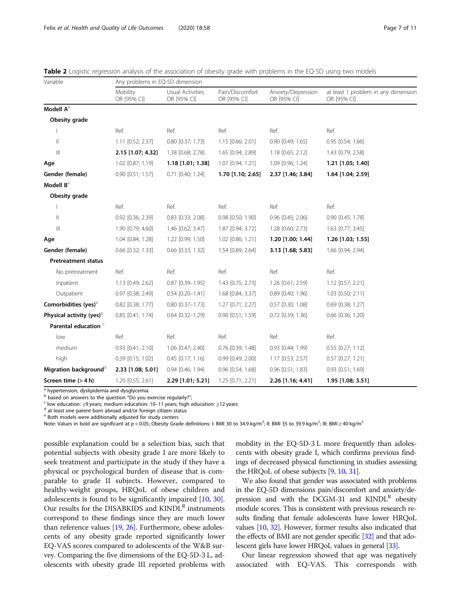<span id="page-6-0"></span>

|  | <b>Table 2</b> Logistic regression analysis of the association of obesity grade with problems in the EQ-5D using two models |  |  |
|--|-----------------------------------------------------------------------------------------------------------------------------|--|--|
|--|-----------------------------------------------------------------------------------------------------------------------------|--|--|

| Variable                              | Any problems in EQ-5D dimension |                                 |                                |                                   |                                                    |  |
|---------------------------------------|---------------------------------|---------------------------------|--------------------------------|-----------------------------------|----------------------------------------------------|--|
|                                       | Mobility<br>OR [95% CI]         | Usual Activities<br>OR [95% CI] | Pain/Discomfort<br>OR [95% CI] | Anxiety/Depression<br>OR [95% CI] | at least 1 problem in any dimension<br>OR [95% CI] |  |
| Modell A <sup>e</sup>                 |                                 |                                 |                                |                                   |                                                    |  |
| Obesity grade                         |                                 |                                 |                                |                                   |                                                    |  |
|                                       | Ref.                            | Ref.                            | Ref.                           | Ref.                              | Ref.                                               |  |
| $\lvert \rvert$                       | 1.11 [0.52; 2.37]               | 0.80 [0.37; 1.73]               | 1.15 [0.66; 2.01]              | 0.90 [0.49; 1.65]                 | 0.95 [0.54; 1.66]                                  |  |
| $\mathbb{H}$                          | 2.15 [1.07; 4.32]               | 1.38 [0.68; 2.78]               | 1.65 [0.94; 2.89]              | 1.18 [0.65; 2.12]                 | 1.43 [0.79; 2.58]                                  |  |
| Age                                   | 1.02 [0.87; 1.19]               | 1.18 [1.01; 1.38]               | 1.07 [0.94; 1.21]              | 1.09 [0.96; 1.24]                 | 1.21 [1.05; 1.40]                                  |  |
| Gender (female)                       | $0.90$ $[0.51; 1.57]$           | $0.71$ $[0.40; 1.24]$           | 1.70 [1.10; 2.65]              | 2.37 [1.46; 3.84]                 | 1.64 [1.04; 2.59]                                  |  |
| Modell B <sup>e</sup>                 |                                 |                                 |                                |                                   |                                                    |  |
| Obesity grade                         |                                 |                                 |                                |                                   |                                                    |  |
|                                       | Ref.                            | Ref.                            | Ref.                           | Ref.                              | Ref.                                               |  |
| $\lvert \rvert$                       | 0.92 [0.36; 2.39]               | $0.83$ $[0.33; 2.08]$           | 0.98 [0.50; 1.90]              | 0.96 [0.45; 2.06]                 | 0.90 [0.45; 1.78]                                  |  |
| $\begin{array}{c} \hline \end{array}$ | 1.90 [0.79; 4.60]               | 1.46 [0.62; 3.47]               | 1.87 [0.94; 3.72]              | 1.28 [0.60; 2.73]                 | 1.63 [0.77; 3.45]                                  |  |
| Age                                   | 1.04 [0.84; 1.28]               | 1.22 [0.99; 1.50]               | 1.02 [0.86; 1.21]              | 1.20 [1.00; 1.44]                 | 1.26 [1.03; 1.55]                                  |  |
| Gender (female)                       | 0.66 [0.32; 1.33]               | 0.66 [0.33; 1.32]               | 1.54 [0.89; 2.64]              | 3.13 [1.68; 5.83]                 | 1.66 [0.94; 2.94]                                  |  |
| <b>Pretreatment status</b>            |                                 |                                 |                                |                                   |                                                    |  |
| No pretreatment                       | Ref.                            | Ref.                            | Ref.                           | Ref.                              | Ref.                                               |  |
| Inpatient                             | 1.13 [0.49; 2.62]               | $0.87$ $[0.39 - 1.95]$          | 1.43 [0.75; 2.73]              | 1.26 [0.61; 2.59]                 | 1.12 [0.57; 2.21]                                  |  |
| Outpatient                            | 0.97 [0.38; 2.49]               | $0.54$ $[0.20 - 1.41]$          | 1.68 [0.84; 3.37]              | 0.89 [0.40; 1.96]                 | 1.03 [0.50; 2.11]                                  |  |
| Comorbidities (yes) <sup>a</sup>      | 0.82 [0.38; 1.77]               | $0.80$ $[0.37 - 1.73]$          | 1.27 [0.71; 2.27]              | 0.57 [0.30; 1.08]                 | 0.69 [0.38; 1.27]                                  |  |
| Physical activity (yes) <sup>b</sup>  | 0.85 [0.41; 1.74]               | $0.64$ $[0.32 - 1.29]$          | 0.90 [0.51; 1.59]              | 0.72 [0.39; 1.36]                 | 0.66 [0.36; 1.20]                                  |  |
| Parental education <sup>c</sup>       |                                 |                                 |                                |                                   |                                                    |  |
| low                                   | Ref.                            | Ref.                            | Ref.                           | Ref.                              | Ref.                                               |  |
| medium                                | $0.93$ $[0.41; 2.10]$           | 1.06 [0.47; 2.40]               | 0.76 [0.39; 1.48]              | 0.93 [0.44; 1.99]                 | $0.55$ $[0.27; 1.12]$                              |  |
| high                                  | 0.39 [0.15; 1.02]               | $0.45$ $[0.17; 1.16]$           | 0.99 [0.49; 2.00]              | 1.17 [0.53; 2.57]                 | $0.57$ $[0.27; 1.21]$                              |  |
| Migration background <sup>d</sup>     | 2.33 [1.08; 5.01]               | 0.94 [0.46; 1.94]               | 0.96 [0.54; 1.68]              | 0.96 [0.51; 1.83]                 | $0.93$ $[0.51; 1.69]$                              |  |
| Screen time (> 4 h)                   | 1.20 [0.55; 2.61]               | 2.29 [1.01; 5.21]               | 1.25 [0.71; 2.21]              | 2.26 [1.16; 4.41]                 | 1.95 [1.08; 3.51]                                  |  |

<sup>a</sup> hypertension, dyslipidemia and dysglycemia

b based on answers to the question "Do you exercise regularly?";<br><sup>c</sup> low education: ≤9 years; medium education: 10–11 years; high education: ≥12 years d at least one parent born abroad and/or foreign citizen status

<sup>e</sup> Both models were additionally adjusted for study centers

Note: Values in bold are significant at  $p < 0.05$ ; Obesity Grade definitions: I: BMI 30 to 34.9 kg/m<sup>2</sup>; II: BMI 35 to 39.9 kg/m<sup>2</sup>; III: BMI ≥ 40 kg/m<sup>2</sup>

possible explanation could be a selection bias, such that potential subjects with obesity grade I are more likely to seek treatment and participate in the study if they have a physical or psychological burden of disease that is comparable to grade II subjects. However, compared to healthy-weight groups, HRQoL of obese children and adolescents is found to be significantly impaired [\[10](#page-9-0), [30](#page-10-0)]. Our results for the DISABKIDS and  $KINDL<sup>R</sup>$  instruments correspond to these findings since they are much lower than reference values [\[19,](#page-10-0) [26](#page-10-0)]. Furthermore, obese adolescents of any obesity grade reported significantly lower EQ-VAS scores compared to adolescents of the W&B survey. Comparing the five dimensions of the EQ-5D-3 L, adolescents with obesity grade III reported problems with

mobility in the EQ-5D-3 L more frequently than adolescents with obesity grade I, which confirms previous findings of decreased physical functioning in studies assessing the HRQoL of obese subjects [\[9,](#page-9-0) [10](#page-9-0), [31](#page-10-0)].

We also found that gender was associated with problems in the EQ-5D dimensions pain/discomfort and anxiety/depression and with the DCGM-31 and  $KINDL^R$  obesity module scores. This is consistent with previous research results finding that female adolescents have lower HRQoL values [[10](#page-9-0), [32\]](#page-10-0). However, former results also indicated that the effects of BMI are not gender specific [\[32](#page-10-0)] and that adolescent girls have lower HRQoL values in general [\[33\]](#page-10-0).

Our linear regression showed that age was negatively associated with EQ-VAS. This corresponds with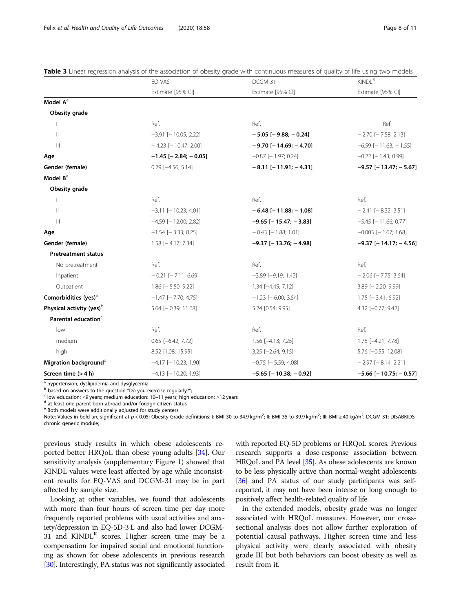|                                      | EQ-VAS                        | DCGM-31                        | <b>KINDL<sup>R</sup></b>       |  |
|--------------------------------------|-------------------------------|--------------------------------|--------------------------------|--|
|                                      | Estimate [95% CI]             | Estimate [95% CI]              | Estimate [95% CI]              |  |
| Model $A^e$                          |                               |                                |                                |  |
| Obesity grade                        |                               |                                |                                |  |
|                                      | Ref.                          | Ref.                           | Ref.                           |  |
| $\parallel$                          | $-3.91$ [ $-10.05; 2.22$ ]    | $-5.05$ [ $-9.88$ ; $-0.24$ ]  | $-2.70$ [ $-7.58$ ; 2.13]      |  |
| $\mathbb{H}$                         | $-4.23$ [ $-10.47; 2.00$ ]    | $-9.70$ [ $-14.69$ ; $-4.70$ ] | $-6.59$ [ $-11.63$ ; $-1.55$ ] |  |
| Age                                  | $-1.45$ [ $-2.84$ ; $-0.05$ ] | $-0.87$ [ $-1.97$ ; 0.24]      | $-0.22$ [ $-1.43$ ; 0.99]      |  |
| Gender (female)                      | $0.29$ [-4.56; 5.14]          | $-8.11[-11.91; -4.31]$         | $-9.57$ [ $-13.47$ ; $-5.67$ ] |  |
| Model B <sup>e</sup>                 |                               |                                |                                |  |
| Obesity grade                        |                               |                                |                                |  |
| 1                                    | Ref.                          | Ref.                           | Ref.                           |  |
| $\parallel$                          | $-3.11$ [ $-10.23$ ; 4.01]    | $-6.48$ [ $-11.88$ ; $-1.08$ ] | $-2.41$ [ $-8.32$ ; 3.51]      |  |
| $\mathbb{H}$                         | $-4.59$ [ $-12.00$ ; 2.82]    | $-9.65$ [ $-15.47; -3.83$ ]    | $-5.45$ [ $-11.66$ ; 0.77]     |  |
| Age                                  | $-1.54$ [ $-3.33$ ; 0.25]     | $-0.43$ [ $-1.88$ ; 1.01]      | $-0.003$ [ $-1.67$ ; 1.68]     |  |
| Gender (female)                      | $1.58$ [-4.17; 7.34]          | $-9.37$ [-13.76; -4.98]        | $-9.37$ [-14.17; -4.56]        |  |
| <b>Pretreatment status</b>           |                               |                                |                                |  |
| No pretreatment                      | Ref.                          | Ref.                           | Ref.                           |  |
| Inpatient                            | $-0.21$ [ $-7.11$ ; 6.69]     | $-3.89$ [ $-9.19$ ; 1.42]      | $-2.06$ [ $-7.75$ ; 3.64]      |  |
| Outpatient                           | $1.86$ [ $-5.50$ ; 9.22]      | $1.34$ $[-4.45; 7.12]$         | $3.89$ [ $-2.20$ ; 9.99]       |  |
| Comorbidities (yes) <sup>a</sup>     | $-1.47$ [ $-7.70$ ; 4.75]     | $-1.23$ [ $-6.00; 3.54$ ]      | $1.75$ [ $-3.41$ ; 6.92]       |  |
| Physical activity (yes) <sup>b</sup> | $5.64$ [ $-0.39$ ; 11.68]     | 5.24 [0.54; 9.95]              | 4.32 [-0.77; 9.42]             |  |
| Parental education <sup>c</sup>      |                               |                                |                                |  |
| low                                  | Ref.                          | Ref.                           | Ref.                           |  |
| medium                               | $0.65$ [-6.42; 7.72]          | $1.56$ [-4.13; 7.25]           | 1.78 [-4.21; 7.78]             |  |
| high                                 | 8.52 [1.08; 15.95]            | $3.25$ [-2.64; 9.15]           | 5.76 [-0.55; 12.08]            |  |
| Migration background <sup>d</sup>    | $-4.17$ [ $-10.23$ ; 1.90]    | $-0.75$ [ $-5.59$ ; 4.08]      | $-2.97$ [ $-8.14$ ; 2.21]      |  |
| Screen time $(> 4 h)$                | $-4.13$ [ $-10.20; 1.93$ ]    | $-5.65$ [ $-10.38$ ; $-0.92$ ] | $-5.66$ [ $-10.75$ ; $-0.57$ ] |  |

<span id="page-7-0"></span>Table 3 Linear regression analysis of the association of obesity grade with continuous measures of quality of life using two models

<sup>a</sup> hypertension, dyslipidemia and dysglycemia<br> $\overline{a}$  based on answers to the question "Do you exercise regularly?";

 $\epsilon$  low education: ≤9 years; medium education: 10–11 years; high education: ≥12 years<br><sup>d</sup> at least one parent born abroad and/or foreign citizen status

<sup>e</sup> Both models were additionally adjusted for study centers

Note: Values in bold are significant at  $p < 0.05$ ; Obesity Grade definitions: I: BMI 30 to 34.9 kg/m<sup>2</sup>; II: BMI 35 to 39.9 kg/m<sup>2</sup>; III: BMI ≥ 40 kg/m<sup>2</sup>; DCGM-31: DISABKIDS chronic generic module;

previous study results in which obese adolescents reported better HRQoL than obese young adults [[34](#page-10-0)]. Our sensitivity analysis (supplementary Figure [1](#page-9-0)) showed that KINDL values were least affected by age while inconsistent results for EQ-VAS and DCGM-31 may be in part affected by sample size.

Looking at other variables, we found that adolescents with more than four hours of screen time per day more frequently reported problems with usual activities and anxiety/depression in EQ-5D-3 L and also had lower DCGM-31 and  $KINDL<sup>R</sup>$  scores. Higher screen time may be a compensation for impaired social and emotional functioning as shown for obese adolescents in previous research [[30](#page-10-0)]. Interestingly, PA status was not significantly associated with reported EQ-5D problems or HRQoL scores. Previous research supports a dose-response association between HRQoL and PA level [\[35\]](#page-10-0). As obese adolescents are known to be less physically active than normal-weight adolescents [[36](#page-10-0)] and PA status of our study participants was selfreported, it may not have been intense or long enough to positively affect health-related quality of life.

In the extended models, obesity grade was no longer associated with HRQoL measures. However, our crosssectional analysis does not allow further exploration of potential causal pathways. Higher screen time and less physical activity were clearly associated with obesity grade III but both behaviors can boost obesity as well as result from it.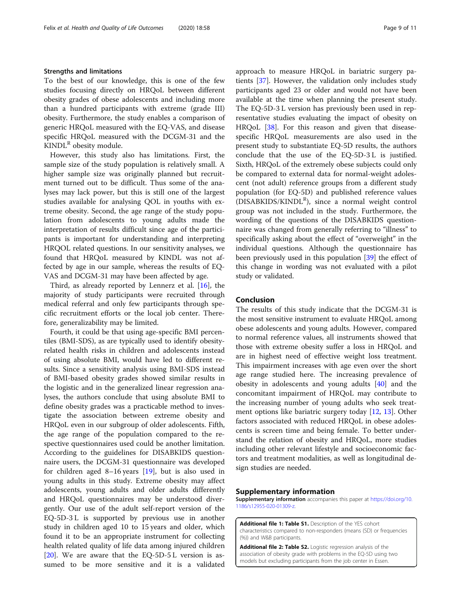# <span id="page-8-0"></span>Strengths and limitations

To the best of our knowledge, this is one of the few studies focusing directly on HRQoL between different obesity grades of obese adolescents and including more than a hundred participants with extreme (grade III) obesity. Furthermore, the study enables a comparison of generic HRQoL measured with the EQ-VAS, and disease specific HRQoL measured with the DCGM-31 and the  $KINDL^R$  obesity module.

However, this study also has limitations. First, the sample size of the study population is relatively small. A higher sample size was originally planned but recruitment turned out to be difficult. Thus some of the analyses may lack power, but this is still one of the largest studies available for analysing QOL in youths with extreme obesity. Second, the age range of the study population from adolescents to young adults made the interpretation of results difficult since age of the participants is important for understanding and interpreting HRQOL related questions. In our sensitivity analyses, we found that HRQoL measured by KINDL was not affected by age in our sample, whereas the results of EQ-VAS and DCGM-31 may have been affected by age.

Third, as already reported by Lennerz et al. [\[16](#page-9-0)], the majority of study participants were recruited through medical referral and only few participants through specific recruitment efforts or the local job center. Therefore, generalizability may be limited.

Fourth, it could be that using age-specific BMI percentiles (BMI-SDS), as are typically used to identify obesityrelated health risks in children and adolescents instead of using absolute BMI, would have led to different results. Since a sensitivity analysis using BMI-SDS instead of BMI-based obesity grades showed similar results in the logistic and in the generalized linear regression analyses, the authors conclude that using absolute BMI to define obesity grades was a practicable method to investigate the association between extreme obesity and HRQoL even in our subgroup of older adolescents. Fifth, the age range of the population compared to the respective questionnaires used could be another limitation. According to the guidelines for DISABKIDS questionnaire users, the DCGM-31 questionnaire was developed for children aged 8–16 years [\[19](#page-10-0)], but is also used in young adults in this study. Extreme obesity may affect adolescents, young adults and older adults differently and HRQoL questionnaires may be understood divergently. Our use of the adult self-report version of the EQ-5D-3 L is supported by previous use in another study in children aged 10 to 15 years and older, which found it to be an appropriate instrument for collecting health related quality of life data among injured children [[20\]](#page-10-0). We are aware that the EQ-5D-5 L version is assumed to be more sensitive and it is a validated approach to measure HRQoL in bariatric surgery patients [\[37](#page-10-0)]. However, the validation only includes study participants aged 23 or older and would not have been available at the time when planning the present study. The EQ-5D-3 L version has previously been used in representative studies evaluating the impact of obesity on HRQoL [\[38](#page-10-0)]. For this reason and given that diseasespecific HRQoL measurements are also used in the present study to substantiate EQ-5D results, the authors conclude that the use of the EQ-5D-3 L is justified. Sixth, HRQoL of the extremely obese subjects could only be compared to external data for normal-weight adolescent (not adult) reference groups from a different study population (for EQ-5D) and published reference values (DISABKIDS/KINDL<sup>R</sup>), since a normal weight control group was not included in the study. Furthermore, the wording of the questions of the DISABKIDS questionnaire was changed from generally referring to "illness" to specifically asking about the effect of "overweight" in the individual questions. Although the questionnaire has been previously used in this population [\[39](#page-10-0)] the effect of this change in wording was not evaluated with a pilot study or validated.

# Conclusion

The results of this study indicate that the DCGM-31 is the most sensitive instrument to evaluate HRQoL among obese adolescents and young adults. However, compared to normal reference values, all instruments showed that those with extreme obesity suffer a loss in HRQoL and are in highest need of effective weight loss treatment. This impairment increases with age even over the short age range studied here. The increasing prevalence of obesity in adolescents and young adults [\[40\]](#page-10-0) and the concomitant impairment of HRQoL may contribute to the increasing number of young adults who seek treatment options like bariatric surgery today [\[12](#page-9-0), [13\]](#page-9-0). Other factors associated with reduced HRQoL in obese adolescents is screen time and being female. To better understand the relation of obesity and HRQoL, more studies including other relevant lifestyle and socioeconomic factors and treatment modalities, as well as longitudinal design studies are needed.

# Supplementary information

Supplementary information accompanies this paper at [https://doi.org/10.](https://doi.org/10.1186/s12955-020-01309-z) [1186/s12955-020-01309-z.](https://doi.org/10.1186/s12955-020-01309-z)

Additional file 1: Table S1. Description of the YES cohort characteristics compared to non-responders (means (SD) or frequencies (%)) and W&B participants.

Additional file 2: Table S2. Logistic regression analysis of the association of obesity grade with problems in the EQ-5D using two models but excluding participants from the job center in Essen.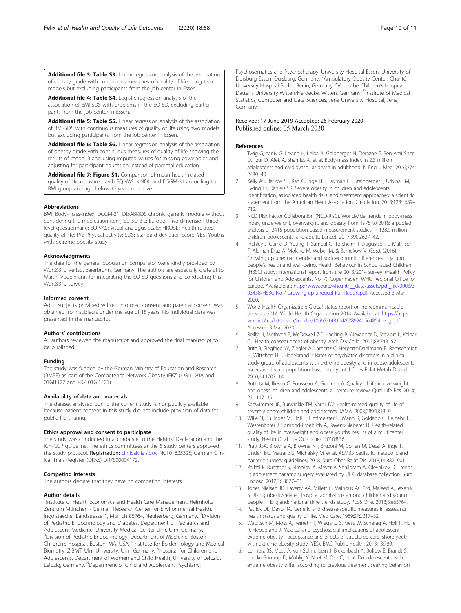<span id="page-9-0"></span>Additional file 3: Table S3. Linear regression analysis of the association of obesity grade with continuous measures of quality of life using two models but excluding participants from the job center in Essen.

Additional file 4: Table S4. Logistic regression analysis of the association of BMI-SDS with problems in the EQ-5D, excluding participants from the job center in Essen.

Additional file 5: Table S5. Linear regression analysis of the association of BMI-SDS with continuous measures of quality of life using two models but excluding participants from the job center in Essen.

Additional file 6: Table S6. Linear regression analysis of the association of obesity grade with continuous measures of quality of life showing the results of model B and using imputed values for missing covariables and adjusting for participant education instead of parental education.

Additional file 7: Figure S1. Comparison of mean health related quality of life measured with EQ-VAS, KINDL and DSGM-31 according to BMI group and age below 17 years or above.

# Abbreviations

BMI: Body-mass-index; DCGM-31: DISABKIDS chronic generic module without considering the medication item; EQ-5D-3 L: Euroqol- five-dimension three level questionnaire; EQ-VAS: Visual analogue scale; HRQoL: Health-related quality of life; PA: Physical activity; SDS: Standard deviation score; YES: Youths with extreme obesity study

# Acknowledgments

The data for the general population comparator were kindly provided by Wort&Bild Verlag, Baierbrunn, Germany. The authors are especially grateful to Martin Vogelmann for integrating the EQ-5D questions and conducting this Wort&Bild survey.

# Informed consent

Adult subjects provided written informed consent and parental consent was obtained from subjects under the age of 18 years. No individual data was presented in the manuscript.

# Authors' contributions

All authors reviewed the manuscript and approved the final manuscript to be published.

# Funding

The study was funded by the German Ministry of Education and Research (BMBF) as part of the Competence Network Obesity (FKZ 01GI1120A and 01GI1127 and FKZ 01GI1401).

# Availability of data and materials

The dataset analysed during the current study is not publicly available because patient consent in this study did not include provision of data for public file sharing.

### Ethics approval and consent to participate

The study was conducted in accordance to the Helsinki Declaration and the ICH-GCP guideline. The ethics committees at the 5 study centers approved the study protocol. Registration: [clinicaltrials.gov](http://clinicaltrials.gov) NCT01625325; German Clinical Trials Register (DRKS) DRKS00004172.

# Competing interests

The authors declare that they have no competing interests.

# Author details

<sup>1</sup>Institute of Health Economics and Health Care Management, Helmholtz Zentrum München - German Research Center for Environmental Health, Ingolstaedter Landstrasse 1, Munich 85764, Neuherberg, Germany. <sup>2</sup>Division of Pediatric Endocrinology and Diabetes, Department of Pediatrics and Adolescent Medicine, University Medical Center Ulm, Ulm, Germany. <sup>3</sup> Division of Pediatric Endocrinology, Department of Medicine, Boston Children's Hospital, Boston, MA, USA. <sup>4</sup>Institute for Epidemiology and Medical Biometry, ZIBMT, Ulm University, Ulm, Germany. <sup>5</sup>Hospital for Children and Adolescents, Department of Women and Child Health, University of Leipzig, Leipzig, Germany. <sup>6</sup>Department of Child and Adolescent Psychiatry,

Psychosomatics and Psychotherapy, University Hospital Essen, University of Duisburg-Essen, Duisburg, Germany. <sup>7</sup>Ambulatory Obesity Center, Charité University Hospital Berlin, Berlin, Germany. <sup>8</sup>Vestische Children's Hospital Datteln, University Witten/Herdecke, Witten, Germany. <sup>9</sup>Institute of Medical Statistics, Computer and Data Sciences, Jena University Hospital, Jena, Germany.

# Received: 17 June 2019 Accepted: 26 February 2020 Published online: 05 March 2020

# References

- 1. Twig G, Yaniv G, Levine H, Leiba A, Goldberger N, Derazne E, Ben-Ami Shor D, Tzur D, Afek A, Shamiss A, et al. Body-mass index in 2.3 million adolescents and cardiovascular death in adulthood. N Engl J Med. 2016;374: 2430–40.
- 2. Kelly AS, Barlow SE, Rao G, Inge TH, Hayman LL, Steinberger J, Urbina EM, Ewing LJ, Daniels SR. Severe obesity in children and adolescents: identification, associated health risks, and treatment approaches: a scientific statement from the American Heart Association. Circulation. 2013;128:1689– 712.
- 3. NCD Risk Factor Collaboration (NCD-RisC). Worldwide trends in body-mass index, underweight, overweight, and obesity from 1975 to 2016: a pooled analysis of 2416 population-based measurement studies in 128.9 million children, adolescents, and adults. Lancet. 2017;390:2627–42.
- 4. Inchley J, Currie D, Young T, Samdal O, Torsheim T, Augustson L, Mathison F, Aleman-Diaz A, Molcho M, Weber M, & Barnekow V. (Eds.). (2016). Growing up unequal: Gender and socioeconomic differences in young people's health and well-being. Health Behaviour in School-aged Children (HBSC) study: International report from the 2013/2014 survey. (Health Policy for Children and Adolescents, No. 7). Copenhagen: WHO Regional Office for Europe. Available at: [http://www.euro.who.int/\\_\\_data/assets/pdf\\_file/0003/3](http://www.euro.who.int/__data/assets/pdf_file/0003/303438/HSBC-No.7-Growing-up-unequal-Full-Report.pdf) [03438/HSBC-No.7-Growing-up-unequal-Full-Report.pdf.](http://www.euro.who.int/__data/assets/pdf_file/0003/303438/HSBC-No.7-Growing-up-unequal-Full-Report.pdf) Accessed 3 Mar 2020.
- 5. World Health Organization: Global status report on noncommunicable diseases 2014. World Health Organization 2014. Available at: [https://apps.](https://apps.who.int/iris/bitstream/handle/10665/148114/9789241564854_eng.pdf) [who.int/iris/bitstream/handle/10665/148114/9789241564854\\_eng.pdf.](https://apps.who.int/iris/bitstream/handle/10665/148114/9789241564854_eng.pdf) Accessed 3 Mar 2020.
- 6. Reilly JJ, Methven E, McDowell ZC, Hacking B, Alexander D, Stewart L, Kelnar CJ. Health consequences of obesity. Arch Dis Child. 2003;88:748–52.
- 7. Britz B, Siegfried W, Ziegler A, Lamertz C, Herpertz-Dahlmann B, Remschmidt H, Wittchen HU, Hebebrand J. Rates of psychiatric disorders in a clinical study group of adolescents with extreme obesity and in obese adolescents ascertained via a population-based study. Int J Obes Relat Metab Disord. 2000;24:1707–14.
- 8. Buttitta M, Iliescu C, Rousseau A, Guerrien A. Quality of life in overweight and obese children and adolescents: a literature review. Qual Life Res. 2014; 23:1117–39.
- 9. Schwimmer JB, Burwinkle TM, Varni JW: Health-related quality of life of severely obese children and adolescents. JAMA. 2003;289:1813–9.
- 10. Wille N, Bullinger M, Holl R, Hoffmeister U, Mann R, Goldapp C, Reinehr T, Westenhofer J, Egmond-Froehlich A, Ravens-Sieberer U. Health-related quality of life in overweight and obese youths: results of a multicenter study. Health Qual Life Outcomes. 2010;8:36.
- 11. Pratt JSA, Browne A, Browne NT, Bruzoni M, Cohen M, Desai A, Inge T, Linden BC, Mattar SG, Michalsky M, et al. ASMBS pediatric metabolic and bariatric surgery guidelines, 2018. Surg Obes Relat Dis. 2018;14:882–901.
- 12. Pallati P, Buettner S, Simorov A, Meyer A, Shaligram A, Oleynikov D. Trends in adolescent bariatric surgery evaluated by UHC database collection. Surg Endosc. 2012;26:3077–81.
- 13. Jones Nielsen JD, Laverty AA, Millett C, Mainous AG 3rd, Majeed A, Saxena S. Rising obesity-related hospital admissions among children and young people in England: national time trends study. PLoS One. 2013;8:e65764.
- 14. Patrick DL, Deyo RA. Generic and disease-specific measures in assessing health status and quality of life. Med Care. 1989;27:S217–32.
- 15. Wabitsch M, Moss A, Reinehr T, Wiegand S, Kiess W, Scherag A, Holl R, Holle R, Hebebrand J. Medical and psychosocial implications of adolescent extreme obesity - acceptance and effects of structured care, short: youth with extreme obesity study (YES). BMC Public Health. 2013;13:789.
- 16. Lennerz BS, Moss A, von Schnurbein J, Bickenbach A, Bollow E, Brandt S, Luetke-Brintrup D, Muhlig Y, Neef M, Ose C, et al. Do adolescents with extreme obesity differ according to previous treatment seeking behavior?